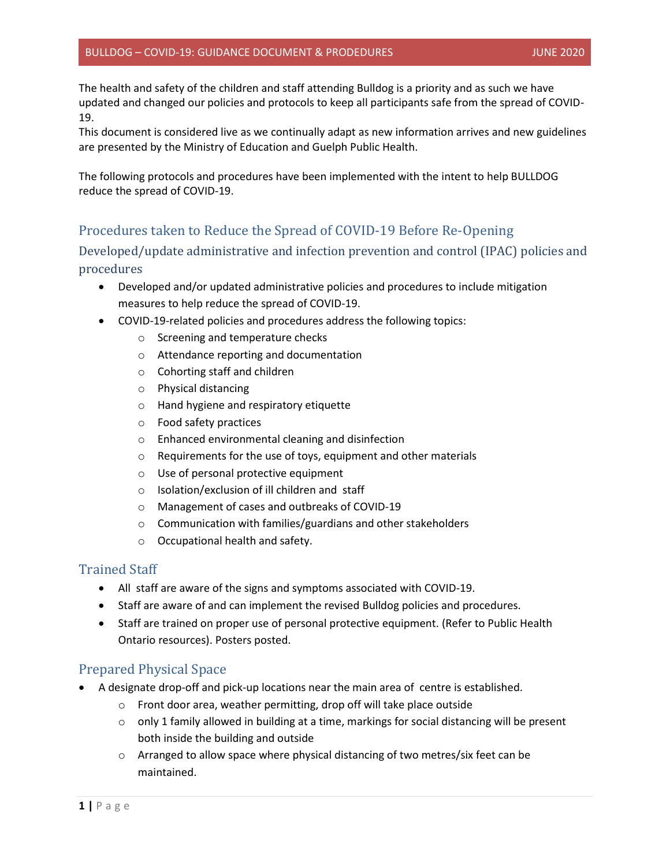The health and safety of the children and staff attending Bulldog is a priority and as such we have updated and changed our policies and protocols to keep all participants safe from the spread of COVID-19.

This document is considered live as we continually adapt as new information arrives and new guidelines are presented by the Ministry of Education and Guelph Public Health.

The following protocols and procedures have been implemented with the intent to help BULLDOG reduce the spread of COVID-19.

#### Procedures taken to Reduce the Spread of COVID-19 Before Re-Opening

### Developed/update administrative and infection prevention and control (IPAC) policies and procedures

- Developed and/or updated administrative policies and procedures to include mitigation measures to help reduce the spread of COVID-19.
- COVID-19-related policies and procedures address the following topics:
	- o Screening and temperature checks
	- o Attendance reporting and documentation
	- o Cohorting staff and children
	- o Physical distancing
	- o Hand hygiene and respiratory etiquette
	- o Food safety practices
	- o Enhanced environmental cleaning and disinfection
	- o Requirements for the use of toys, equipment and other materials
	- o Use of personal protective equipment
	- o Isolation/exclusion of ill children and staff
	- o Management of cases and outbreaks of COVID-19
	- o Communication with families/guardians and other stakeholders
	- o Occupational health and safety.

#### Trained Staff

- All staff are aware of the signs and symptoms associated with COVID-19.
- Staff are aware of and can implement the revised Bulldog policies and procedures.
- Staff are trained on proper use of personal protective equipment. (Refer to Public Health Ontario resources). Posters posted.

#### Prepared Physical Space

- A designate drop-off and pick-up locations near the main area of centre is established.
	- o Front door area, weather permitting, drop off will take place outside
	- $\circ$  only 1 family allowed in building at a time, markings for social distancing will be present both inside the building and outside
	- $\circ$  Arranged to allow space where physical distancing of two metres/six feet can be maintained.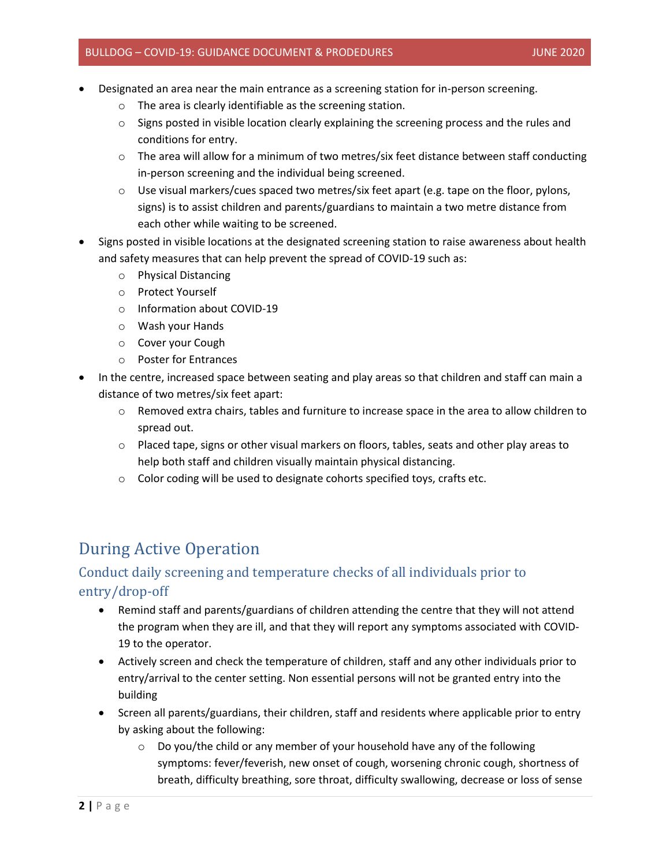#### BULLDOG – COVID-19: GUIDANCE DOCUMENT & PRODEDURES GUIDANCE 2020

- Designated an area near the main entrance as a screening station for in-person screening.
	- o The area is clearly identifiable as the screening station.
	- $\circ$  Signs posted in visible location clearly explaining the screening process and the rules and conditions for entry.
	- $\circ$  The area will allow for a minimum of two metres/six feet distance between staff conducting in-person screening and the individual being screened.
	- o Use visual markers/cues spaced two metres/six feet apart (e.g. tape on the floor, pylons, signs) is to assist children and parents/guardians to maintain a two metre distance from each other while waiting to be screened.
- Signs posted in visible locations at the designated screening station to raise awareness about health and safety measures that can help prevent the spread of COVID-19 such as:
	- o Physical Distancing
	- o Protect Yourself
	- o Information about COVID-19
	- o Wash your Hands
	- o Cover your Cough
	- o Poster for Entrances
- In the centre, increased space between seating and play areas so that children and staff can main a distance of two metres/six feet apart:
	- $\circ$  Removed extra chairs, tables and furniture to increase space in the area to allow children to spread out.
	- $\circ$  Placed tape, signs or other visual markers on floors, tables, seats and other play areas to help both staff and children visually maintain physical distancing.
	- o Color coding will be used to designate cohorts specified toys, crafts etc.

# During Active Operation

## Conduct daily screening and temperature checks of all individuals prior to entry/drop-off

- Remind staff and parents/guardians of children attending the centre that they will not attend the program when they are ill, and that they will report any symptoms associated with COVID-19 to the operator.
- Actively screen and check the temperature of children, staff and any other individuals prior to entry/arrival to the center setting. Non essential persons will not be granted entry into the building
- Screen all parents/guardians, their children, staff and residents where applicable prior to entry by asking about the following:
	- $\circ$  Do you/the child or any member of your household have any of the following symptoms: fever/feverish, new onset of cough, worsening chronic cough, shortness of breath, difficulty breathing, sore throat, difficulty swallowing, decrease or loss of sense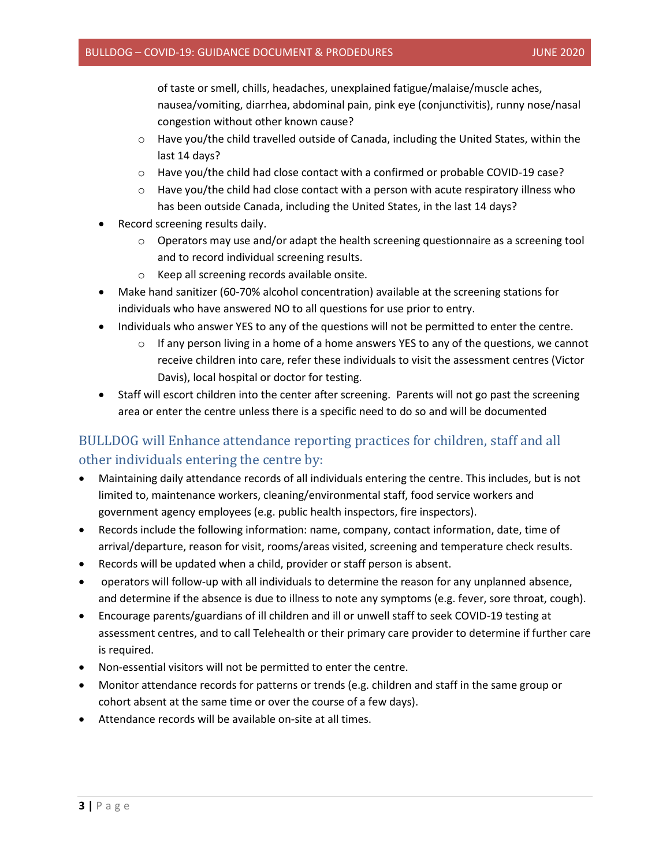of taste or smell, chills, headaches, unexplained fatigue/malaise/muscle aches, nausea/vomiting, diarrhea, abdominal pain, pink eye (conjunctivitis), runny nose/nasal congestion without other known cause?

- o Have you/the child travelled outside of Canada, including the United States, within the last 14 days?
- $\circ$  Have you/the child had close contact with a confirmed or probable COVID-19 case?
- $\circ$  Have you/the child had close contact with a person with acute respiratory illness who has been outside Canada, including the United States, in the last 14 days?
- Record screening results daily.
	- $\circ$  Operators may use and/or adapt the health screening questionnaire as a screening tool and to record individual screening results.
	- o Keep all screening records available onsite.
- Make hand sanitizer (60-70% alcohol concentration) available at the screening stations for individuals who have answered NO to all questions for use prior to entry.
- Individuals who answer YES to any of the questions will not be permitted to enter the centre.
	- $\circ$  If any person living in a home of a home answers YES to any of the questions, we cannot receive children into care, refer these individuals to visit the assessment centres (Victor Davis), local hospital or doctor for testing.
- Staff will escort children into the center after screening. Parents will not go past the screening area or enter the centre unless there is a specific need to do so and will be documented

## BULLDOG will Enhance attendance reporting practices for children, staff and all other individuals entering the centre by:

- Maintaining daily attendance records of all individuals entering the centre. This includes, but is not limited to, maintenance workers, cleaning/environmental staff, food service workers and government agency employees (e.g. public health inspectors, fire inspectors).
- Records include the following information: name, company, contact information, date, time of arrival/departure, reason for visit, rooms/areas visited, screening and temperature check results.
- Records will be updated when a child, provider or staff person is absent.
- operators will follow-up with all individuals to determine the reason for any unplanned absence, and determine if the absence is due to illness to note any symptoms (e.g. fever, sore throat, cough).
- Encourage parents/guardians of ill children and ill or unwell staff to seek COVID-19 testing at assessment centres, and to call Telehealth or their primary care provider to determine if further care is required.
- Non-essential visitors will not be permitted to enter the centre.
- Monitor attendance records for patterns or trends (e.g. children and staff in the same group or cohort absent at the same time or over the course of a few days).
- Attendance records will be available on-site at all times.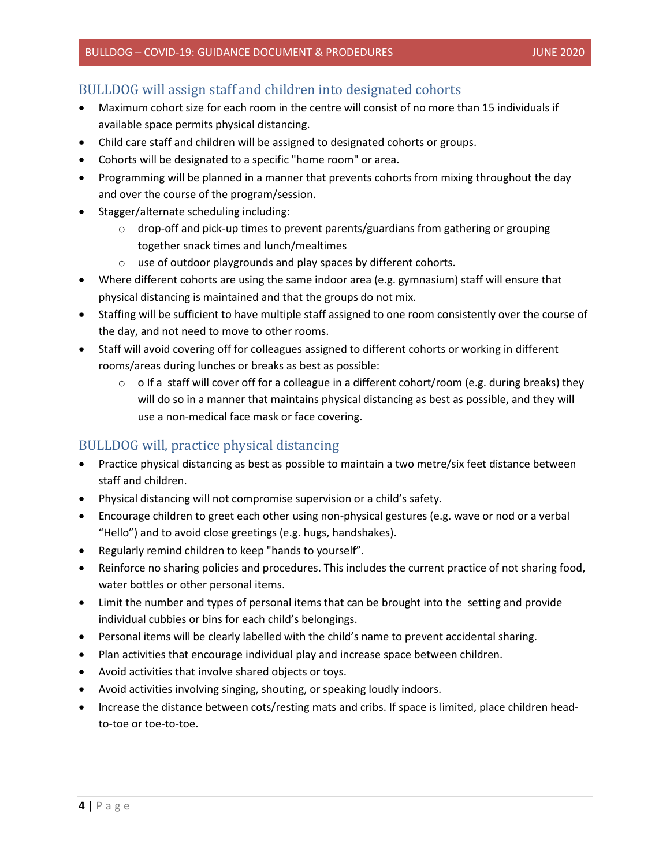## BULLDOG will assign staff and children into designated cohorts

- Maximum cohort size for each room in the centre will consist of no more than 15 individuals if available space permits physical distancing.
- Child care staff and children will be assigned to designated cohorts or groups.
- Cohorts will be designated to a specific "home room" or area.
- Programming will be planned in a manner that prevents cohorts from mixing throughout the day and over the course of the program/session.
- Stagger/alternate scheduling including:
	- $\circ$  drop-off and pick-up times to prevent parents/guardians from gathering or grouping together snack times and lunch/mealtimes
	- o use of outdoor playgrounds and play spaces by different cohorts.
- Where different cohorts are using the same indoor area (e.g. gymnasium) staff will ensure that physical distancing is maintained and that the groups do not mix.
- Staffing will be sufficient to have multiple staff assigned to one room consistently over the course of the day, and not need to move to other rooms.
- Staff will avoid covering off for colleagues assigned to different cohorts or working in different rooms/areas during lunches or breaks as best as possible:
	- $\circ$  o If a staff will cover off for a colleague in a different cohort/room (e.g. during breaks) they will do so in a manner that maintains physical distancing as best as possible, and they will use a non-medical face mask or face covering.

## BULLDOG will, practice physical distancing

- Practice physical distancing as best as possible to maintain a two metre/six feet distance between staff and children.
- Physical distancing will not compromise supervision or a child's safety.
- Encourage children to greet each other using non-physical gestures (e.g. wave or nod or a verbal "Hello") and to avoid close greetings (e.g. hugs, handshakes).
- Regularly remind children to keep "hands to yourself".
- Reinforce no sharing policies and procedures. This includes the current practice of not sharing food, water bottles or other personal items.
- Limit the number and types of personal items that can be brought into the setting and provide individual cubbies or bins for each child's belongings.
- Personal items will be clearly labelled with the child's name to prevent accidental sharing.
- Plan activities that encourage individual play and increase space between children.
- Avoid activities that involve shared objects or toys.
- Avoid activities involving singing, shouting, or speaking loudly indoors.
- Increase the distance between cots/resting mats and cribs. If space is limited, place children headto-toe or toe-to-toe.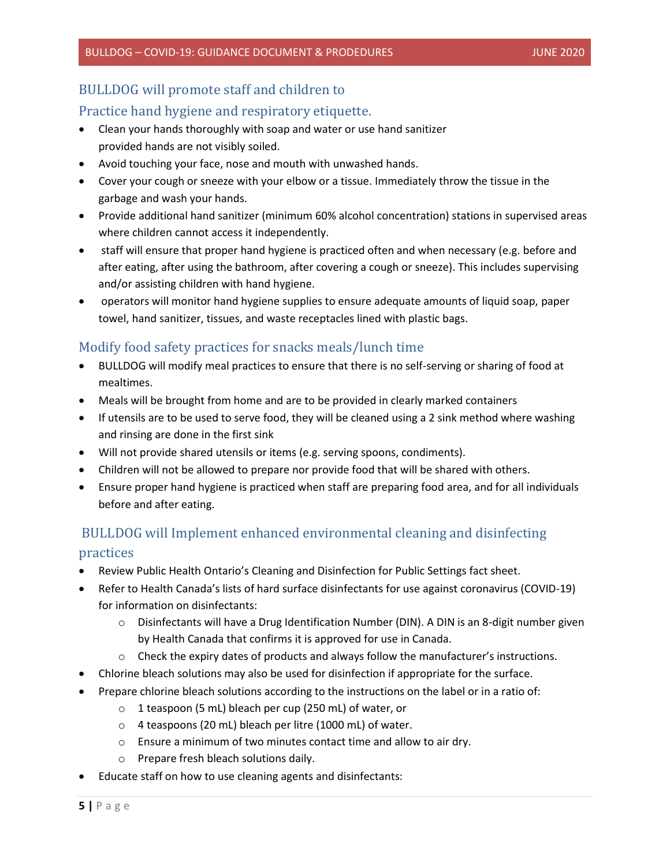## BULLDOG will promote staff and children to

## Practice hand hygiene and respiratory etiquette.

- Clean your hands thoroughly with soap and water or use hand sanitizer provided hands are not visibly soiled.
- Avoid touching your face, nose and mouth with unwashed hands.
- Cover your cough or sneeze with your elbow or a tissue. Immediately throw the tissue in the garbage and wash your hands.
- Provide additional hand sanitizer (minimum 60% alcohol concentration) stations in supervised areas where children cannot access it independently.
- staff will ensure that proper hand hygiene is practiced often and when necessary (e.g. before and after eating, after using the bathroom, after covering a cough or sneeze). This includes supervising and/or assisting children with hand hygiene.
- operators will monitor hand hygiene supplies to ensure adequate amounts of liquid soap, paper towel, hand sanitizer, tissues, and waste receptacles lined with plastic bags.

## Modify food safety practices for snacks meals/lunch time

- BULLDOG will modify meal practices to ensure that there is no self-serving or sharing of food at mealtimes.
- Meals will be brought from home and are to be provided in clearly marked containers
- If utensils are to be used to serve food, they will be cleaned using a 2 sink method where washing and rinsing are done in the first sink
- Will not provide shared utensils or items (e.g. serving spoons, condiments).
- Children will not be allowed to prepare nor provide food that will be shared with others.
- Ensure proper hand hygiene is practiced when staff are preparing food area, and for all individuals before and after eating.

## BULLDOG will Implement enhanced environmental cleaning and disinfecting practices

- Review Public Health Ontario's Cleaning and Disinfection for Public Settings fact sheet.
- Refer to Health Canada's lists of hard surface disinfectants for use against coronavirus (COVID-19) for information on disinfectants:
	- $\circ$  Disinfectants will have a Drug Identification Number (DIN). A DIN is an 8-digit number given by Health Canada that confirms it is approved for use in Canada.
	- $\circ$  Check the expiry dates of products and always follow the manufacturer's instructions.
- Chlorine bleach solutions may also be used for disinfection if appropriate for the surface.
- Prepare chlorine bleach solutions according to the instructions on the label or in a ratio of:
	- o 1 teaspoon (5 mL) bleach per cup (250 mL) of water, or
	- o 4 teaspoons (20 mL) bleach per litre (1000 mL) of water.
	- o Ensure a minimum of two minutes contact time and allow to air dry.
	- o Prepare fresh bleach solutions daily.
- Educate staff on how to use cleaning agents and disinfectants: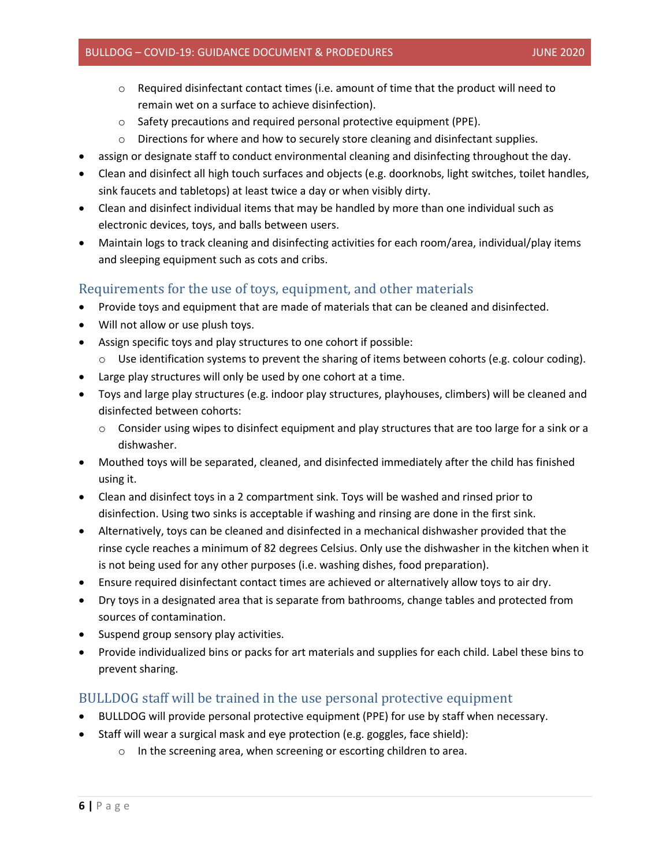- $\circ$  Required disinfectant contact times (i.e. amount of time that the product will need to remain wet on a surface to achieve disinfection).
- o Safety precautions and required personal protective equipment (PPE).
- $\circ$  Directions for where and how to securely store cleaning and disinfectant supplies.
- assign or designate staff to conduct environmental cleaning and disinfecting throughout the day.
- Clean and disinfect all high touch surfaces and objects (e.g. doorknobs, light switches, toilet handles, sink faucets and tabletops) at least twice a day or when visibly dirty.
- Clean and disinfect individual items that may be handled by more than one individual such as electronic devices, toys, and balls between users.
- Maintain logs to track cleaning and disinfecting activities for each room/area, individual/play items and sleeping equipment such as cots and cribs.

#### Requirements for the use of toys, equipment, and other materials

- Provide toys and equipment that are made of materials that can be cleaned and disinfected.
- Will not allow or use plush toys.
- Assign specific toys and play structures to one cohort if possible:
	- $\circ$  Use identification systems to prevent the sharing of items between cohorts (e.g. colour coding).
- Large play structures will only be used by one cohort at a time.
- Toys and large play structures (e.g. indoor play structures, playhouses, climbers) will be cleaned and disinfected between cohorts:
	- $\circ$  Consider using wipes to disinfect equipment and play structures that are too large for a sink or a dishwasher.
- Mouthed toys will be separated, cleaned, and disinfected immediately after the child has finished using it.
- Clean and disinfect toys in a 2 compartment sink. Toys will be washed and rinsed prior to disinfection. Using two sinks is acceptable if washing and rinsing are done in the first sink.
- Alternatively, toys can be cleaned and disinfected in a mechanical dishwasher provided that the rinse cycle reaches a minimum of 82 degrees Celsius. Only use the dishwasher in the kitchen when it is not being used for any other purposes (i.e. washing dishes, food preparation).
- Ensure required disinfectant contact times are achieved or alternatively allow toys to air dry.
- Dry toys in a designated area that is separate from bathrooms, change tables and protected from sources of contamination.
- Suspend group sensory play activities.
- Provide individualized bins or packs for art materials and supplies for each child. Label these bins to prevent sharing.

## BULLDOG staff will be trained in the use personal protective equipment

- BULLDOG will provide personal protective equipment (PPE) for use by staff when necessary.
- Staff will wear a surgical mask and eye protection (e.g. goggles, face shield):
	- o In the screening area, when screening or escorting children to area.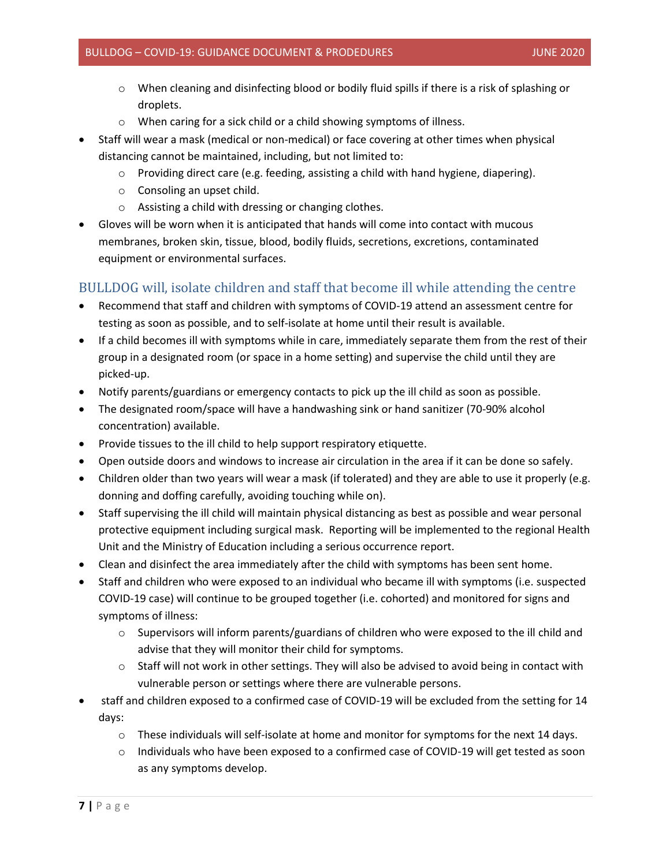- $\circ$  When cleaning and disinfecting blood or bodily fluid spills if there is a risk of splashing or droplets.
- o When caring for a sick child or a child showing symptoms of illness.
- Staff will wear a mask (medical or non-medical) or face covering at other times when physical distancing cannot be maintained, including, but not limited to:
	- $\circ$  Providing direct care (e.g. feeding, assisting a child with hand hygiene, diapering).
	- o Consoling an upset child.
	- o Assisting a child with dressing or changing clothes.
- Gloves will be worn when it is anticipated that hands will come into contact with mucous membranes, broken skin, tissue, blood, bodily fluids, secretions, excretions, contaminated equipment or environmental surfaces.

#### BULLDOG will, isolate children and staff that become ill while attending the centre

- Recommend that staff and children with symptoms of COVID-19 attend an assessment centre for testing as soon as possible, and to self-isolate at home until their result is available.
- If a child becomes ill with symptoms while in care, immediately separate them from the rest of their group in a designated room (or space in a home setting) and supervise the child until they are picked-up.
- Notify parents/guardians or emergency contacts to pick up the ill child as soon as possible.
- The designated room/space will have a handwashing sink or hand sanitizer (70-90% alcohol concentration) available.
- Provide tissues to the ill child to help support respiratory etiquette.
- Open outside doors and windows to increase air circulation in the area if it can be done so safely.
- Children older than two years will wear a mask (if tolerated) and they are able to use it properly (e.g. donning and doffing carefully, avoiding touching while on).
- Staff supervising the ill child will maintain physical distancing as best as possible and wear personal protective equipment including surgical mask. Reporting will be implemented to the regional Health Unit and the Ministry of Education including a serious occurrence report.
- Clean and disinfect the area immediately after the child with symptoms has been sent home.
- Staff and children who were exposed to an individual who became ill with symptoms (i.e. suspected COVID-19 case) will continue to be grouped together (i.e. cohorted) and monitored for signs and symptoms of illness:
	- $\circ$  Supervisors will inform parents/guardians of children who were exposed to the ill child and advise that they will monitor their child for symptoms.
	- $\circ$  Staff will not work in other settings. They will also be advised to avoid being in contact with vulnerable person or settings where there are vulnerable persons.
- staff and children exposed to a confirmed case of COVID-19 will be excluded from the setting for 14 days:
	- $\circ$  These individuals will self-isolate at home and monitor for symptoms for the next 14 days.
	- o Individuals who have been exposed to a confirmed case of COVID-19 will get tested as soon as any symptoms develop.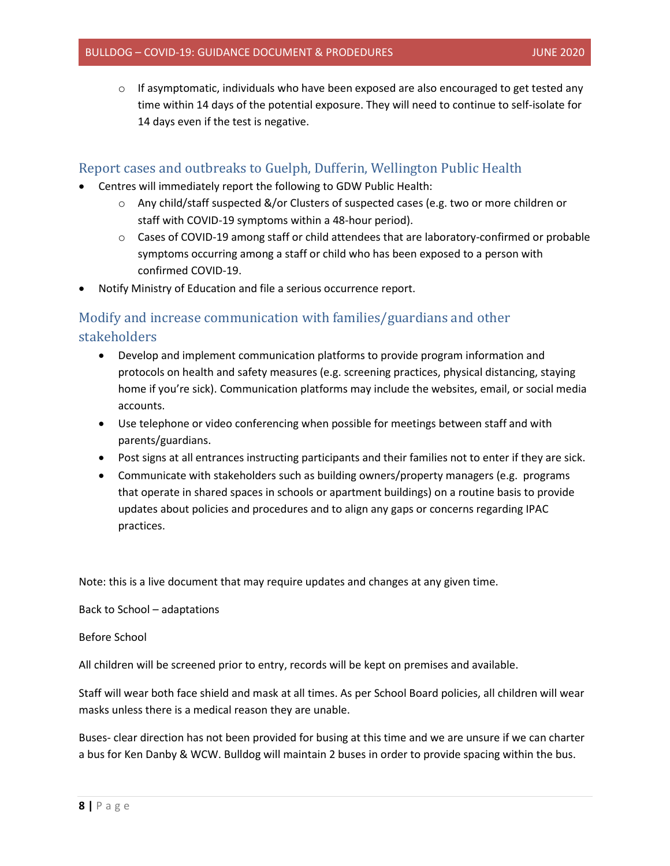$\circ$  If asymptomatic, individuals who have been exposed are also encouraged to get tested any time within 14 days of the potential exposure. They will need to continue to self-isolate for 14 days even if the test is negative.

## Report cases and outbreaks to Guelph, Dufferin, Wellington Public Health

- Centres will immediately report the following to GDW Public Health:
	- o Any child/staff suspected &/or Clusters of suspected cases (e.g. two or more children or staff with COVID-19 symptoms within a 48-hour period).
	- o Cases of COVID-19 among staff or child attendees that are laboratory-confirmed or probable symptoms occurring among a staff or child who has been exposed to a person with confirmed COVID-19.
- Notify Ministry of Education and file a serious occurrence report.

## Modify and increase communication with families/guardians and other stakeholders

- Develop and implement communication platforms to provide program information and protocols on health and safety measures (e.g. screening practices, physical distancing, staying home if you're sick). Communication platforms may include the websites, email, or social media accounts.
- Use telephone or video conferencing when possible for meetings between staff and with parents/guardians.
- Post signs at all entrances instructing participants and their families not to enter if they are sick.
- Communicate with stakeholders such as building owners/property managers (e.g. programs that operate in shared spaces in schools or apartment buildings) on a routine basis to provide updates about policies and procedures and to align any gaps or concerns regarding IPAC practices.

Note: this is a live document that may require updates and changes at any given time.

Back to School – adaptations

Before School

All children will be screened prior to entry, records will be kept on premises and available.

Staff will wear both face shield and mask at all times. As per School Board policies, all children will wear masks unless there is a medical reason they are unable.

Buses- clear direction has not been provided for busing at this time and we are unsure if we can charter a bus for Ken Danby & WCW. Bulldog will maintain 2 buses in order to provide spacing within the bus.